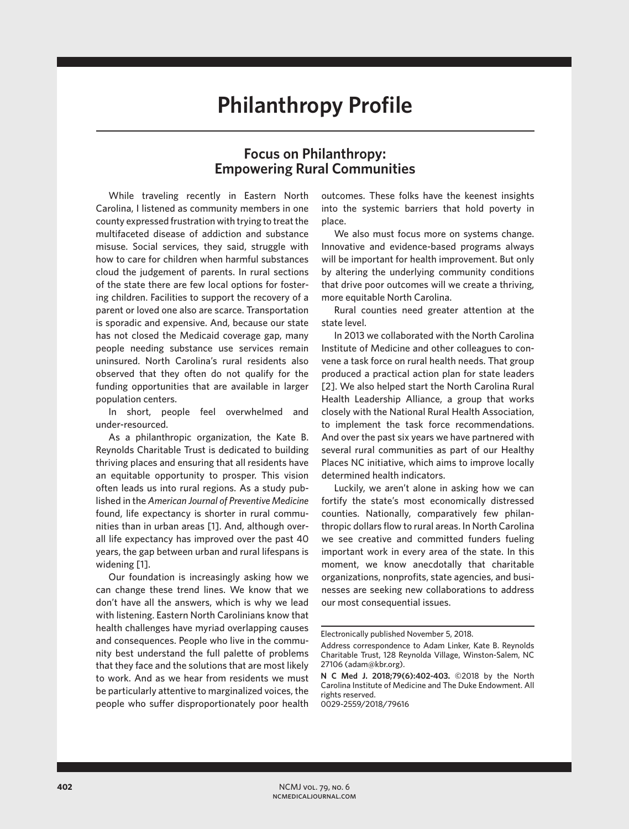## **Philanthropy Profile**

## **Focus on Philanthropy: Empowering Rural Communities**

While traveling recently in Eastern North Carolina, I listened as community members in one county expressed frustration with trying to treat the multifaceted disease of addiction and substance misuse. Social services, they said, struggle with how to care for children when harmful substances cloud the judgement of parents. In rural sections of the state there are few local options for fostering children. Facilities to support the recovery of a parent or loved one also are scarce. Transportation is sporadic and expensive. And, because our state has not closed the Medicaid coverage gap, many people needing substance use services remain uninsured. North Carolina's rural residents also observed that they often do not qualify for the funding opportunities that are available in larger population centers.

In short, people feel overwhelmed and under-resourced.

As a philanthropic organization, the Kate B. Reynolds Charitable Trust is dedicated to building thriving places and ensuring that all residents have an equitable opportunity to prosper. This vision often leads us into rural regions. As a study published in the *American Journal of Preventive Medicine* found, life expectancy is shorter in rural communities than in urban areas [1]. And, although overall life expectancy has improved over the past 40 years, the gap between urban and rural lifespans is widening [1].

Our foundation is increasingly asking how we can change these trend lines. We know that we don't have all the answers, which is why we lead with listening. Eastern North Carolinians know that health challenges have myriad overlapping causes and consequences. People who live in the community best understand the full palette of problems that they face and the solutions that are most likely to work. And as we hear from residents we must be particularly attentive to marginalized voices, the people who suffer disproportionately poor health

outcomes. These folks have the keenest insights into the systemic barriers that hold poverty in place.

We also must focus more on systems change. Innovative and evidence-based programs always will be important for health improvement. But only by altering the underlying community conditions that drive poor outcomes will we create a thriving, more equitable North Carolina.

Rural counties need greater attention at the state level.

In 2013 we collaborated with the North Carolina Institute of Medicine and other colleagues to convene a task force on rural health needs. That group produced a practical action plan for state leaders [2]. We also helped start the North Carolina Rural Health Leadership Alliance, a group that works closely with the National Rural Health Association, to implement the task force recommendations. And over the past six years we have partnered with several rural communities as part of our Healthy Places NC initiative, which aims to improve locally determined health indicators.

Luckily, we aren't alone in asking how we can fortify the state's most economically distressed counties. Nationally, comparatively few philanthropic dollars flow to rural areas. In North Carolina we see creative and committed funders fueling important work in every area of the state. In this moment, we know anecdotally that charitable organizations, nonprofits, state agencies, and businesses are seeking new collaborations to address our most consequential issues.

Electronically published November 5, 2018.

Address correspondence to Adam Linker, Kate B. Reynolds Charitable Trust, 128 Reynolda Village, Winston-Salem, NC 27106 (adam@kbr.org).

**N C Med J. 2018;79(6):402-403.** ©2018 by the North Carolina Institute of Medicine and The Duke Endowment. All rights reserved. 0029-2559/2018/79616